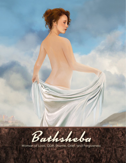

Woman of Love, Guilt, Shame, Grief, and Forgiveness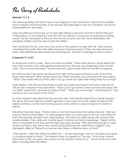The Story of Bathsheba

## *Samuel 11:1-5*

The following spring, the time of year when kings go to war, David sent Joab and the Israelite army to destroy the Ammonites. In the process they laid siege to the city of Rahhah. But David stayed behind in Jerusalem.

Late one afternoon David got out of bed after taking a nap and went for a stroll on the roof of the palace. As he looked out over the city, he noticed a woman of unusual beauty taking a bath. He sent someone to find out who she was and he was told,"She is Bathsheba, the daughter of Eliam and the wife of Uriah the Hittite."

Then David sent for her, and when she came to the palace, he slept with her. (She had just completed the purification rites after having her menstrual period.) Then she returned home. Later, when Bathsheba discovered she was pregnant, she sent a message to inform David.

#### *2 Samuel 11: 6-27*

So David sent word to Joab, "Send me Uriah the Hittite." When Uriah arrived, David asked him how Joab and the army were getting along and how the war was progressing. Then he told Uriah, "Go on home and relax." David even sent a gift to Uriah after he had left the palace.

But Uriah wouldn't go home. He stayed that night at the palace entrance with some of the King's other servants. When David heard what Uriah had done, he summoned him and asked, "What's the matter with you? Why didn't you go home last night after being away for so long?"

Uriah replied, "The Ark and the armies of Israel and Judah are living in tents and Joab and his officers are camping in the open fields." "How could I go home to wine and dine and sleep with my wife? I swear that I will never be guilty of that." "Well, stay here tonight," David told him, "and tomorrow you may return to the army."

So Uriah stayed in Jerusalem that day and the next. Then David invited him to dinner and got him drunk. But even then he couldn't get Uriah to go home to his wife. Again he slept at the palace entrance. So the next morning David wrote a letter to Joab and gave it to Uriah to deliver.

The letter instructed Joab, "Station Uriah on the front lines where the battle is fiercest. Then pull back so that he will be killed." So Joab assigned Uriah to a spot close to the city wall where he knew the enemies strongest men were fighting. And Uriah was killed along with several other Israelite soldiers. Then Joab sent a battle report to David. He told his messenger, "Report all the news of the battle to the king. But he might get angry and ask, 'Why did the troops go so close to the city? Didn't they know they would be shooting from the walls? Wasn't Gideon's son, Abimelech, killed at Thebez by a woman who threw a millstone down on him?'"

"Then tell him, 'Uriah the Hittite was killed, too.'" So the messenger went to Jerusalem and gave a complete report to David. "The enemy came out against us," he said. "And as we chased them back to the city gates, the archers on the wall shot arrows at us." "Some of the men were killed, including Uriah the Hittite."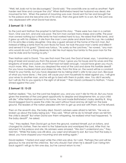"Well, tell Joab not to be discouraged," David said. "The sword kills one as well as another! Fight harder next time and conquer the city!" When Bathsheba heard her husband was dead, she mourned for him. When the period of mourning was over, David sent for her and brought her to the palace and she became one of his wives. Then she gave birth to a son. But the Lord was very displeased with what David had done.

# *2 Samuel 12: 1-13A*

So the Lord sent Nathan the prophet to tell David this story: "There were two men in a certain town. One was rich, and one was poor. The rich man owned many sheep and cattle. The poor man owned nothing but a little lamb he had worked hard to buy. He raised that little lamb, and it grew up with his children. It ate from the man's own plate and drank from his cup. He cuddled it in his arms like a baby daughter. One day a guest arrived at the home of the rich man. But instead of killing a lamb from his own flocks for food, he took the poor man's lamb and killed it and served it to his guest." David was furious. "As surely as the Lord lives," he vowed, "any man who would do such a thing deserves to die! He must repay four lambs to the poor man for the one he stole and for having no pity."

Then Nathan said to David, "You are that man! The Lord, the God of Israel, says, 'I anointed you king of Israel and saved you from the power of Saul. I gave you his house and his wives and the kingdoms of Israel and Judah. And if that had not been enough, I would have given you much, much more. Why, then, have you despised the word of the Lord and done this horrible deed? For you have murdered Uriah and stolen his wife. From this time on, the sword will be a constant threat to your family, but you have despised me by taking Uriah's wife to be your own. Because of what you have done, I, the Lord, will cause your own household to rebel against you. I will give your wives to another man, and he will go to bed with them in public view. You did it secretly, but I will do this to you openly in the sight of all Israel.'" Then David confessed to Nathan, "I have sinned against the Lord."

# *2 Samuel 12: 13-23*

Nathan replied, "Yes, but the Lord has forgiven you, and you won't die for this sin. But you have given the enemies of the Lord great opportunity to despise and blaspheme him, so your child will die." After Nathan returned to his home, the Lord made Bathsheba's baby deathly ill. King David begged God to spare the child. He went without food and lay all night on the bare ground. The leaders of the nation pleaded with him to get up and eat with them, but he refused.

Then on the seventh day, the baby died. David's advisers were afraid to tell him. "He was so broken up about the baby being sick," they said. "What will he do to himself when we tell him the child is dead?" But when David saw them whispering, he realized what had happened. "Is the baby dead?", he asked.

"Yes," they replied. Then David got up from the ground, washed himself, put on lotions, and changed his clothes. Then he went to the Tabernacle and worshiped the Lord. After that, he returned to the palace and ate. His advisers were amazed. "We don't understand you." they told him. "While the baby was still alive, you wept and refused to eat. But now that the baby is dead, you have stopped your mourning and are eating again."

David replied, "I fasted and wept while the child was alive, for I said, 'Perhaps the Lord will be gracious to me and let the child live.' But why should I fast when he is dead? Can I bring him back again? I will go to him one day, but he cannot return to me."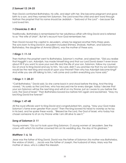## *2 Samuel 12: 24-25*

Then David comforted Bathsheba, his wife, and slept with her. She became pregnant and gave birth to a son, and they named him Solomon. The Lord loved the child and sent word through Nathan the prophet that his name should be Jedidiah – "*beloved of the Lord*" – because the Lord loved him.

## *1 Chronicles 3: 4B-5*

Traditionally, Bathsheba is remembered for her adulterous affair with King David and is referred to as "the wife of Uriah". But let's recount how God remembers her.

Then David moved the capital to Jerusalem, where he reigned another thirty-three years. The sons born to King David in Jerusalem included Shimea, Shobab, Nathan, and Solomon. Bathsheba, the daughter of Ammid (Eliam), was the mother of these sons.

# *1 Kings 1: 11-14*

Then Nathan the prophet went to Bathsheba, Solomon's mother, and asked her, "Did you realize that Haggith's son, Adonijah, has made himself king and that our Lord David doesn't even know about it? If you want to save your own life and the life of your son, Solomon, follow my counsel. Go at once to King David and say to him, 'My Lord, didn't you promise me that my son Solomon would be the next king and would sit upon your throne? Then why has Adonijah become king?' And while you are still talking to him, I will come and confirm everything you have said."

## *1 Kings 1: 1: 28-31*

"Call Bathsheba," David said. So she came back in and stood before the king. And the king vowed, "As surely as the Lord lives, who has rescued me for every danger, today I decree that your son Solomon will be the next king and will sit on my throne, just as I swore to you before the Lord, the God of Israel." Then Bathsheba bowed low before him again and exclaimed, "May my lord King David live forever!"

## *1 Kings 1: 47-48*

All the royal officials went to King David and congratulated him, saying, "May your God make Solomon's fame even greater than yours!" Then the king bowed his head to worship as he lay in his bed, and he spoke these words, "Blessed be the Lord, the God of Israel, who today has chosen someone to sit on my throne while I am still alive to see it."

## *Song of Solomon 3: 11*

Young women: "Go out to look upon King Solomon, O young women of Jerusalem. See the crown with which his mother crowned him on his wedding day, the day of his gladness."

## *Matthew 1: 6, 16*

Jesse was the father of King David. David was the father of Solomon (his mother was Bathsheba, the widow of Uriah) … Jacob was the father of Joseph, the husband of Mary. Mary was the mother of Jesus, who is called the Messiah.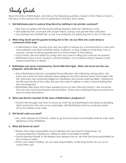# Study Guide

Read the Story of Bathsheba, and discuss the following questions. Keep in mind there is more to the story of this woman than what is presented in the few short verses.

### *1. Did Bathsheba plan to seduce King David by bathing in her private courtyard?*

- She was occupied with the ritual bathing required after her menstrual cycle.
- She believed her courtyard with its light fabric canopy was private from onlookers.
- He surprised and startled her, so she was evidently not expecting him to be on the roof.

#### *2. When King David sent his guards to bring her to him, do you think she could refuse a command of the king?*

- In Bathsheba's time, women had very few rights to refuse any command from a man who had authority over them whether father, husband, or king. Subjects of the king, man or woman, would not refuse guards sent to summon them to the palace.
- Once there, she was taken by a king who was used to taking any woman he wanted.
- Bathsheba knew it was wrong to commit adultery, but to refuse a king's request could mean punishment or death.

#### *3. Bathsheba was never summoned by David after that night. When she found out she was pregnant, what did she do?*

- Since Bathsheba had just completed the purification rites following menstruation, she knew she could not have already been pregnant by her husband when David slept with her. She knew she would be judged an adulteress and would surely be killed. Fearing for her life and the life of her child, she sent her maid to deliver a note to David stating that she was pregnant.
- Bathsheba also knew that when people found out the child was David's, she would be the one who would be blamed and punished. David was a beloved king and would not have to share the blame.

#### *4. What was David's reaction to the news of Bathsheba's pregnancy?*

• David's first thought was how to cover up what he and Bathsheba had done by bringing Uriah home from the war so he could sleep with Bathsheba and he could pass Uriah off as the father of her child.

#### *5. Did David's plan succeed?*

• No, Uriah refused all of David's offers to go home and be comfortable while his men were sleeping on the battlefield.

#### *6. What did David do next?*

- Rather than take responsibility for his mistakes and ask God for forgiveness, he compounded the mistakes by calling for Uriah to be killed in battle.
- David allowed himself to fall deeper and deeper into sin. He then became responsible for the murder of Uriah.
- When you make mistakes, do you take responsibility, or like King David, do you try to cover them up?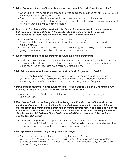#### *7. When Bathsheba found out her husband Uriah had been killed, what was her reaction?*

- When Uriah's wife heard that her husband was dead, she mourned for him. *(2 Samuel 11: 26)* Her mourning showed she loved him.
- She did not show relief that she would not have to reveal her adultery to him.
- Until David confessed to Nathan what he had done to Uriah, Bathsheba most likely would not have known David had him murdered.

#### *8. David's choices brought the sword to his family and there was never harmony or peace between his wives and children. Although David's sins were forgiven by God, the consequences of them were far reaching. What can we learn from him?*

- Do you often make choices you condemn others for making?
- To look past the moment and see what long-term consequences our actions will have on others.
- When we try to cover up our mistakes instead of taking responsibility for them, we are going to compound both the mistakes and the consequences.

#### *9. When Nathan came to confront David about his sin, what did David do?*

• David was truly sorry for his adultery with Bathsheba and for murdering her husband Uriah to cover up his adultery. He knew that his actions had hurt many people. But because David repented of those sins, God mercifully forgave him.

#### *10. What do we know about forgiveness from God by God's forgiveness of David?*

• No sin is too big to be forgiven if you are truly sorry! Do you carry guilt and shame in your heart and feel that you could never come close to God because you have done something terrible? God has shown he can and will forgive you of any sin.

#### *11. David did not continue to dwell on his mistakes. He returned to God and God forgave him, opening the way to begin life anew. What does this mean for us?*

- When we return to God, accept his forgiveness and change our ways, he gives us a fresh start.
- *12. The choices David made brought much suffering on Bathsheba. She lost her husband to murder, and perhaps, the most bitter suffering of all was losing her first born son. Solomon was the fourth son of David and Bathsheba. Therefore several years had passed between the death of their first born son and Solomon's birth. Bathsheba would most certainly have been still grieving the child's death. Since David committed the sin, why was his life not taken as was the law of the time?*
	- There were still parts of God's plan that David needed to fulfill. Frequently when we make mistakes, it is the innocent who end up suffering. Which is why we must remember, forgiveness does not cancel the consequences we set in motion.

#### *13. What part did Bathsheba play in King Solomon's reign?*

- She became influential in the palace alongside her son Solomon.
- Young women: "Go out to look upon King Solomon, O young women of Jerusalem. See the crown with which his mother crowned him on his wedding day, the day of his gladness." *(Song of Solomon 3: 11)*